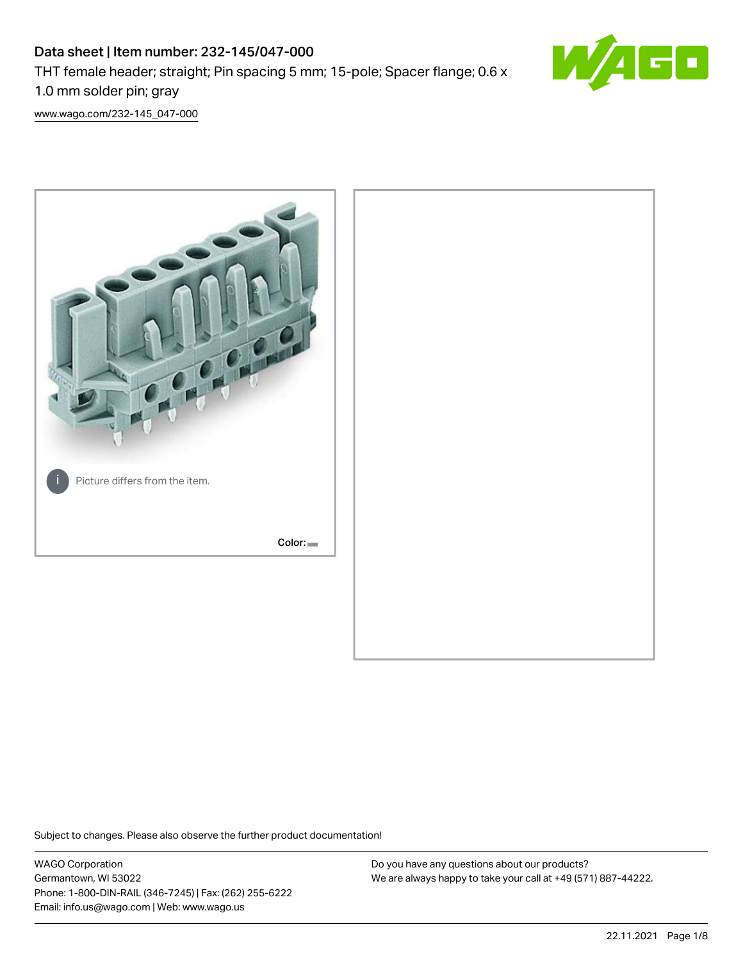# Data sheet | Item number: 232-145/047-000 THT female header; straight; Pin spacing 5 mm; 15-pole; Spacer flange; 0.6 x 1.0 mm solder pin; gray



[www.wago.com/232-145\\_047-000](http://www.wago.com/232-145_047-000)



Subject to changes. Please also observe the further product documentation!

WAGO Corporation Germantown, WI 53022 Phone: 1-800-DIN-RAIL (346-7245) | Fax: (262) 255-6222 Email: info.us@wago.com | Web: www.wago.us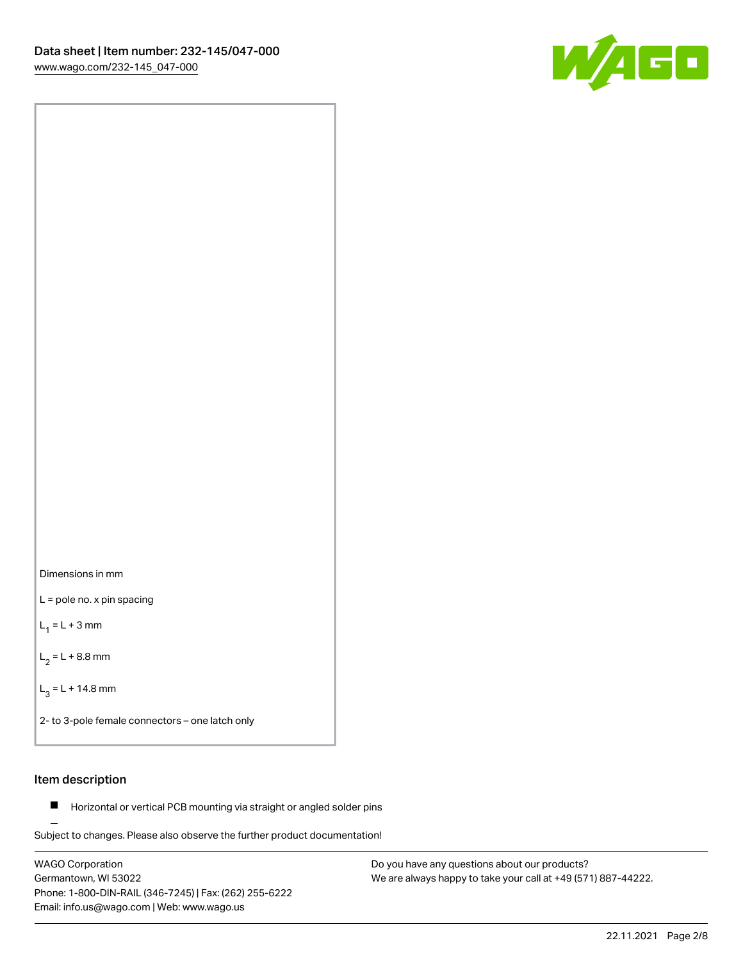



L = pole no. x pin spacing

 $L_1 = L + 3$  mm

 $L_2 = L + 8.8$  mm

 $L_3 = L + 14.8$  mm

2- to 3-pole female connectors – one latch only

# Item description

**Horizontal or vertical PCB mounting via straight or angled solder pins** 

Subject to changes. Please also observe the further product documentation! For board-to-board and board-to-wire connections

WAGO Corporation Germantown, WI 53022 Phone: 1-800-DIN-RAIL (346-7245) | Fax: (262) 255-6222 Email: info.us@wago.com | Web: www.wago.us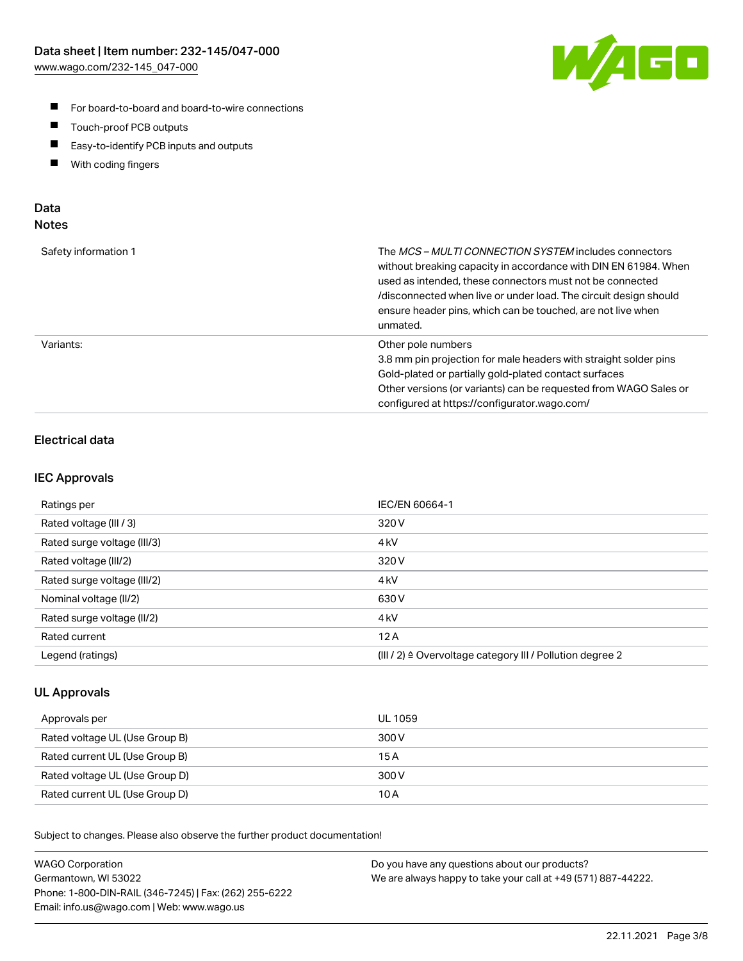

- For board-to-board and board-to-wire connections
- $\blacksquare$ Touch-proof PCB outputs
- $\blacksquare$ Easy-to-identify PCB inputs and outputs
- $\blacksquare$ With coding fingers

## Data **Notes**

| Safety information 1 | The <i>MCS – MULTI CONNECTION SYSTEM</i> includes connectors<br>without breaking capacity in accordance with DIN EN 61984. When<br>used as intended, these connectors must not be connected<br>/disconnected when live or under load. The circuit design should<br>ensure header pins, which can be touched, are not live when<br>unmated. |
|----------------------|--------------------------------------------------------------------------------------------------------------------------------------------------------------------------------------------------------------------------------------------------------------------------------------------------------------------------------------------|
| Variants:            | Other pole numbers<br>3.8 mm pin projection for male headers with straight solder pins<br>Gold-plated or partially gold-plated contact surfaces<br>Other versions (or variants) can be requested from WAGO Sales or<br>configured at https://configurator.wago.com/                                                                        |

# Electrical data

## IEC Approvals

| Ratings per                 | IEC/EN 60664-1                                                        |
|-----------------------------|-----------------------------------------------------------------------|
| Rated voltage (III / 3)     | 320 V                                                                 |
| Rated surge voltage (III/3) | 4 <sub>k</sub> V                                                      |
| Rated voltage (III/2)       | 320 V                                                                 |
| Rated surge voltage (III/2) | 4 <sub>k</sub> V                                                      |
| Nominal voltage (II/2)      | 630 V                                                                 |
| Rated surge voltage (II/2)  | 4 <sub>kV</sub>                                                       |
| Rated current               | 12A                                                                   |
| Legend (ratings)            | $(III / 2)$ $\triangle$ Overvoltage category III / Pollution degree 2 |

## UL Approvals

| Approvals per                  | UL 1059 |
|--------------------------------|---------|
| Rated voltage UL (Use Group B) | 300 V   |
| Rated current UL (Use Group B) | 15 A    |
| Rated voltage UL (Use Group D) | 300 V   |
| Rated current UL (Use Group D) | 10 A    |

Subject to changes. Please also observe the further product documentation!

| <b>WAGO Corporation</b>                                | Do you have any questions about our products?                 |
|--------------------------------------------------------|---------------------------------------------------------------|
| Germantown, WI 53022                                   | We are always happy to take your call at +49 (571) 887-44222. |
| Phone: 1-800-DIN-RAIL (346-7245)   Fax: (262) 255-6222 |                                                               |
| Email: info.us@wago.com   Web: www.wago.us             |                                                               |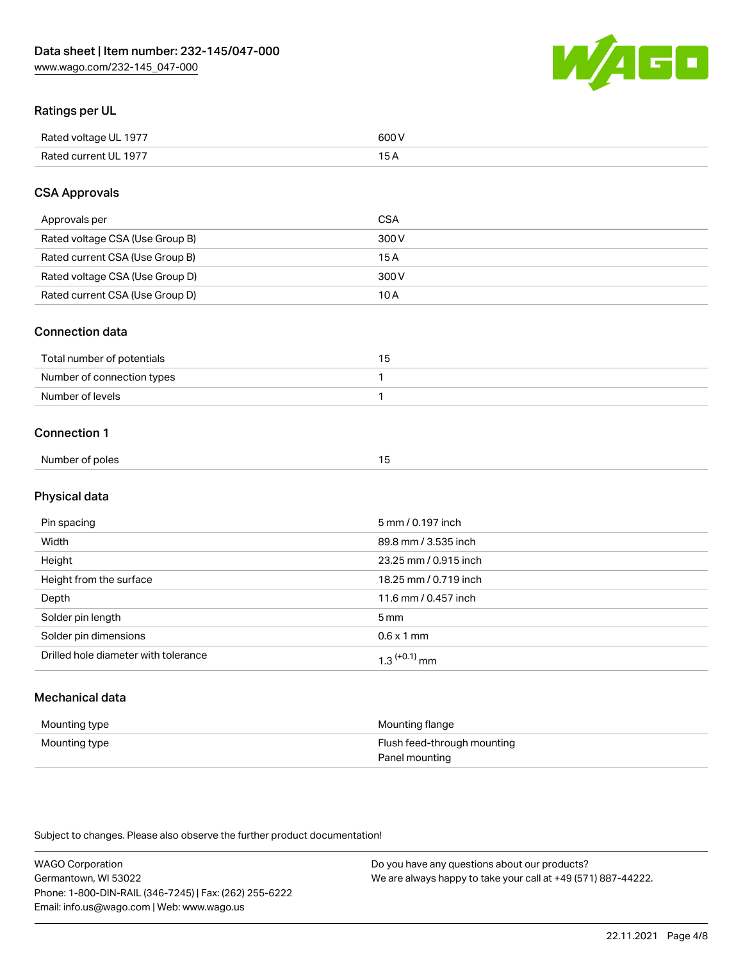

# Ratings per UL

| Rated voltage UL 1977                | COO V<br>ור |
|--------------------------------------|-------------|
| <b>Rated</b><br>UL 1977<br>curront l | _____       |

# CSA Approvals

| Approvals per                   | <b>CSA</b> |
|---------------------------------|------------|
| Rated voltage CSA (Use Group B) | 300 V      |
| Rated current CSA (Use Group B) | 15 A       |
| Rated voltage CSA (Use Group D) | 300 V      |
| Rated current CSA (Use Group D) | 10 A       |

### Connection data

| Total number of potentials |  |
|----------------------------|--|
| Number of connection types |  |
| Number of levels           |  |

### Connection 1

| Number of poles | . . |  |
|-----------------|-----|--|
|                 |     |  |

# Physical data

| Pin spacing                          | 5 mm / 0.197 inch          |
|--------------------------------------|----------------------------|
| Width                                | 89.8 mm / 3.535 inch       |
| Height                               | 23.25 mm / 0.915 inch      |
| Height from the surface              | 18.25 mm / 0.719 inch      |
| Depth                                | 11.6 mm / 0.457 inch       |
| Solder pin length                    | $5 \,\mathrm{mm}$          |
| Solder pin dimensions                | $0.6 \times 1$ mm          |
| Drilled hole diameter with tolerance | $1.3$ <sup>(+0.1)</sup> mm |

# Mechanical data

| Mounting type | Mounting flange                               |
|---------------|-----------------------------------------------|
| Mounting type | Flush feed-through mounting<br>Panel mounting |

Subject to changes. Please also observe the further product documentation!

| <b>WAGO Corporation</b>                                | Do you have any questions about our products?                 |
|--------------------------------------------------------|---------------------------------------------------------------|
| Germantown, WI 53022                                   | We are always happy to take your call at +49 (571) 887-44222. |
| Phone: 1-800-DIN-RAIL (346-7245)   Fax: (262) 255-6222 |                                                               |
| Email: info.us@wago.com   Web: www.wago.us             |                                                               |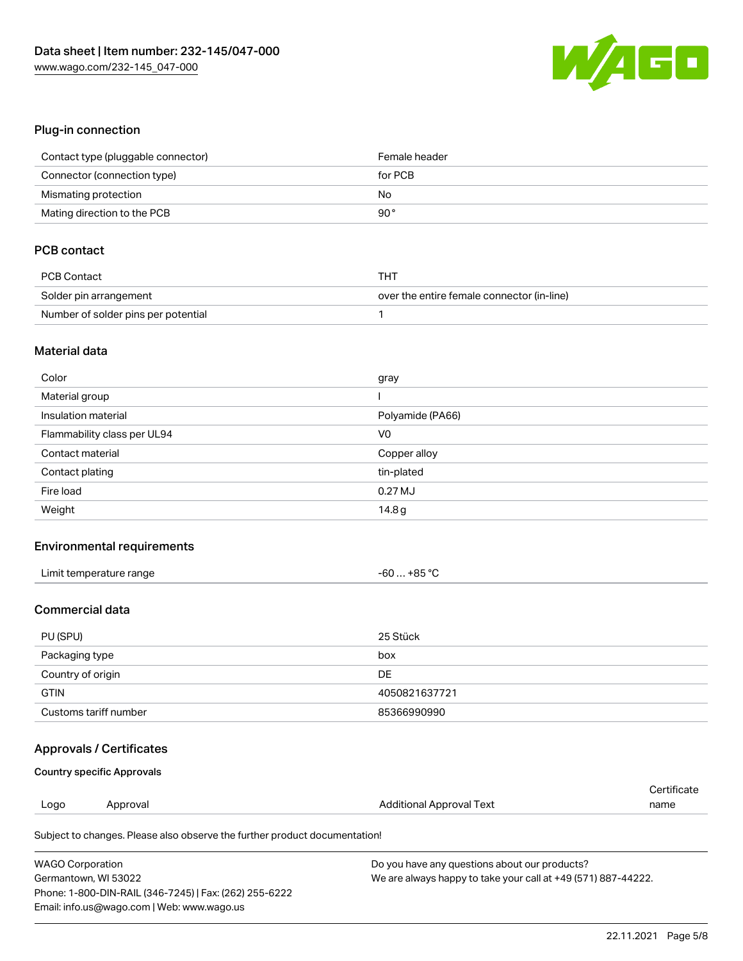

# Plug-in connection

| Contact type (pluggable connector) | Female header |
|------------------------------------|---------------|
| Connector (connection type)        | for PCB       |
| Mismating protection               | No            |
| Mating direction to the PCB        | 90°           |

# PCB contact

| PCB Contact                         | THT                                        |
|-------------------------------------|--------------------------------------------|
| Solder pin arrangement              | over the entire female connector (in-line) |
| Number of solder pins per potential |                                            |

#### Material data

| Color                       | gray             |
|-----------------------------|------------------|
| Material group              |                  |
| Insulation material         | Polyamide (PA66) |
| Flammability class per UL94 | V <sub>0</sub>   |
| Contact material            | Copper alloy     |
| Contact plating             | tin-plated       |
| Fire load                   | $0.27$ MJ        |
| Weight                      | 14.8g            |

## Environmental requirements

| Limit temperature range | -60  +85 °C |
|-------------------------|-------------|
|-------------------------|-------------|

### Commercial data

| PU (SPU)              | 25 Stück      |
|-----------------------|---------------|
| Packaging type        | box           |
| Country of origin     | DE            |
| <b>GTIN</b>           | 4050821637721 |
| Customs tariff number | 85366990990   |

# Approvals / Certificates

#### Country specific Approvals

|      |          |                                 | ≘ertificate |
|------|----------|---------------------------------|-------------|
| Logo | Approval | <b>Additional Approval Text</b> | name        |
|      |          |                                 |             |

Subject to changes. Please also observe the further product documentation!

| <b>WAGO Corporation</b>                                | Do you have any questions about our products?                 |
|--------------------------------------------------------|---------------------------------------------------------------|
| Germantown, WI 53022                                   | We are always happy to take your call at +49 (571) 887-44222. |
| Phone: 1-800-DIN-RAIL (346-7245)   Fax: (262) 255-6222 |                                                               |
| Email: info.us@wago.com   Web: www.wago.us             |                                                               |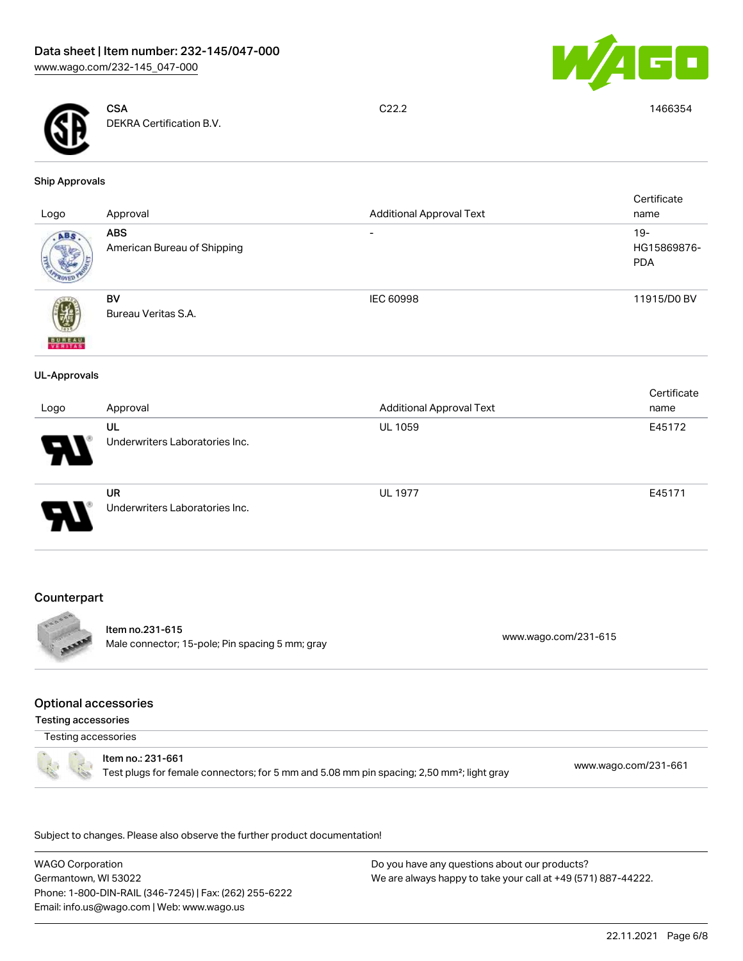



**CSA** DEKRA Certification B.V.

C22.2 1466354

#### Ship Approvals

| Logo                     | Approval                                    | <b>Additional Approval Text</b> | Certificate<br>name                 |
|--------------------------|---------------------------------------------|---------------------------------|-------------------------------------|
| ABS.                     | <b>ABS</b><br>American Bureau of Shipping   | $\overline{\phantom{a}}$        | $19 -$<br>HG15869876-<br><b>PDA</b> |
| <b>BUREAU</b><br>VERITAS | BV<br>Bureau Veritas S.A.                   | IEC 60998                       | 11915/D0 BV                         |
| <b>UL-Approvals</b>      |                                             |                                 |                                     |
| Logo                     | Approval                                    | <b>Additional Approval Text</b> | Certificate<br>name                 |
|                          | UL<br>Underwriters Laboratories Inc.        | UL 1059                         | E45172                              |
|                          | <b>UR</b><br>Underwriters Laboratories Inc. | <b>UL 1977</b>                  | E45171                              |

# **Counterpart**



Item no.231-615 Male connector; 15-pole; Pin spacing 5 mm; gray [www.wago.com/231-615](https://www.wago.com/231-615)

### Optional accessories

Testing accessories

Testing accessories



Item no.: 231-661 Test plugs for female connectors; for 5 mm and 5.08 mm pin spacing; 2,50 mm²; light gray [www.wago.com/231-661](http://www.wago.com/231-661)

.<br>Subject to changes. Please also observe the further product documentation!

WAGO Corporation Germantown, WI 53022 Phone: 1-800-DIN-RAIL (346-7245) | Fax: (262) 255-6222 Email: info.us@wago.com | Web: www.wago.us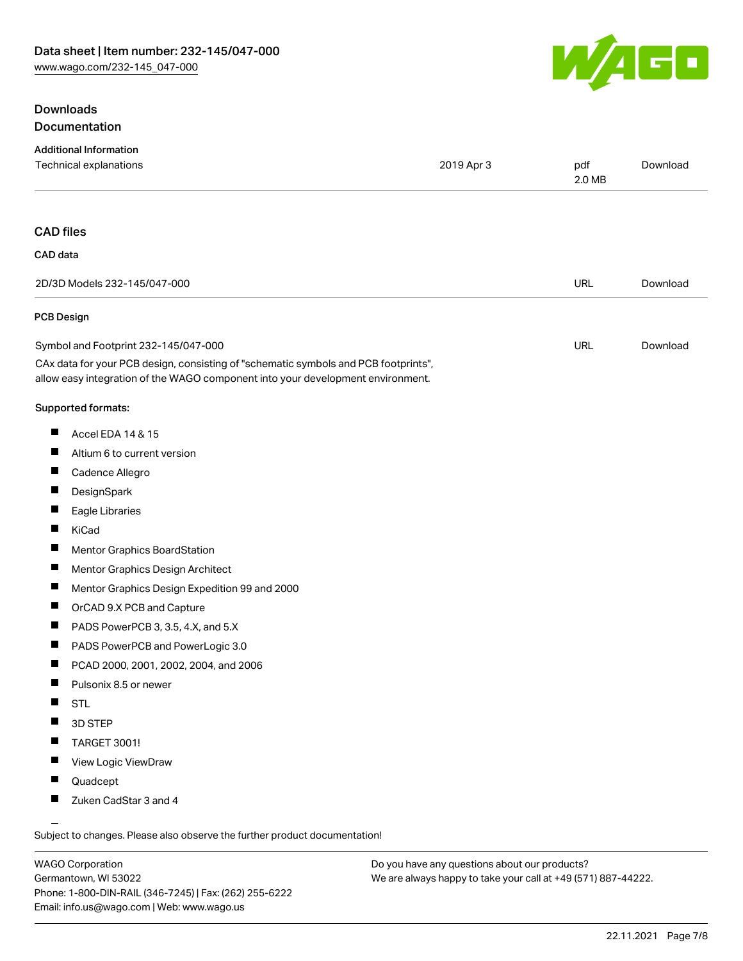# **Downloads** Documentation



| <b>Additional Information</b><br>Technical explanations                                                                                                                | 2019 Apr 3 | pdf<br>2.0 MB | Download |
|------------------------------------------------------------------------------------------------------------------------------------------------------------------------|------------|---------------|----------|
|                                                                                                                                                                        |            |               |          |
| <b>CAD files</b>                                                                                                                                                       |            |               |          |
|                                                                                                                                                                        |            |               |          |
| CAD data                                                                                                                                                               |            |               |          |
| 2D/3D Models 232-145/047-000                                                                                                                                           |            | <b>URL</b>    | Download |
| <b>PCB Design</b>                                                                                                                                                      |            |               |          |
| Symbol and Footprint 232-145/047-000                                                                                                                                   |            | URL           | Download |
| CAx data for your PCB design, consisting of "schematic symbols and PCB footprints",<br>allow easy integration of the WAGO component into your development environment. |            |               |          |
| Supported formats:                                                                                                                                                     |            |               |          |
| ш<br>Accel EDA 14 & 15                                                                                                                                                 |            |               |          |
| ш<br>Altium 6 to current version                                                                                                                                       |            |               |          |
| a ka<br>Cadence Allegro                                                                                                                                                |            |               |          |
| Ц<br>DesignSpark                                                                                                                                                       |            |               |          |
| ш<br>Eagle Libraries                                                                                                                                                   |            |               |          |
| П<br>KiCad                                                                                                                                                             |            |               |          |
| Ш<br>Mentor Graphics BoardStation                                                                                                                                      |            |               |          |
| ш<br>Mentor Graphics Design Architect                                                                                                                                  |            |               |          |
| ш<br>Mentor Graphics Design Expedition 99 and 2000                                                                                                                     |            |               |          |
| Ш<br>OrCAD 9.X PCB and Capture                                                                                                                                         |            |               |          |
| Ш<br>PADS PowerPCB 3, 3.5, 4.X, and 5.X                                                                                                                                |            |               |          |
| ш<br>PADS PowerPCB and PowerLogic 3.0                                                                                                                                  |            |               |          |
| Ш<br>PCAD 2000, 2001, 2002, 2004, and 2006                                                                                                                             |            |               |          |
| ш<br>Pulsonix 8.5 or newer                                                                                                                                             |            |               |          |
| ш<br><b>STL</b>                                                                                                                                                        |            |               |          |
| 3D STEP<br>ш                                                                                                                                                           |            |               |          |
| TARGET 3001!                                                                                                                                                           |            |               |          |
| View Logic ViewDraw<br>ш                                                                                                                                               |            |               |          |
| Quadcept<br>ш                                                                                                                                                          |            |               |          |
| Zuken CadStar 3 and 4                                                                                                                                                  |            |               |          |
| $\overline{\phantom{0}}$                                                                                                                                               |            |               |          |

Subject to changes. Please also observe the further product documentation!

WAGO Corporation Germantown, WI 53022 Phone: 1-800-DIN-RAIL (346-7245) | Fax: (262) 255-6222 Email: info.us@wago.com | Web: www.wago.us